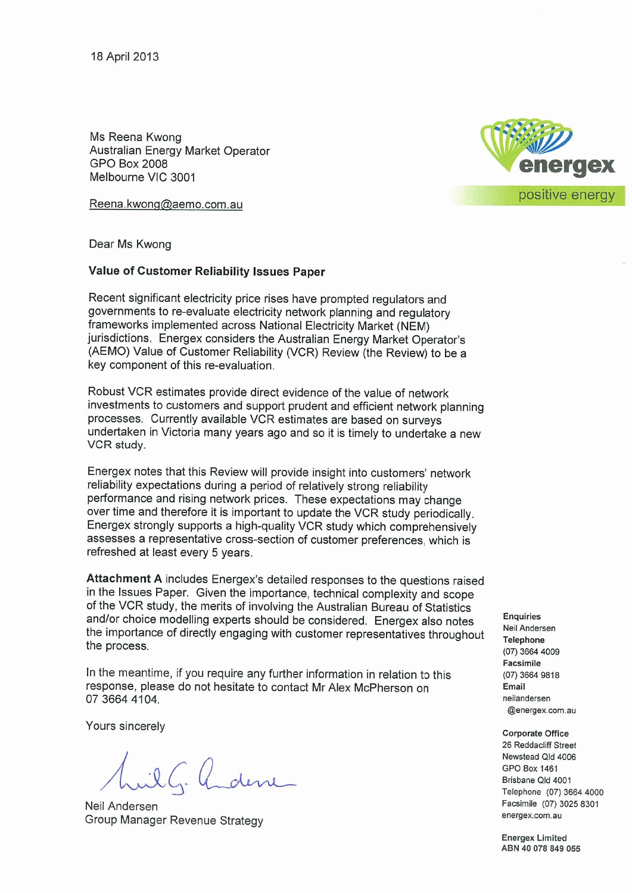Ms Reena Kwong Australian Energy Market Operator GPO Box 2008 Melbourne VIC 3001

Reena.kwong@aemo .com.au



Dear Ms Kwong

# **Value of Customer Reliability Issues Paper**

Recent significant electricity price rises have prompted regulators and governments to re-evaluate electricity network planning and regulatory frameworks implemented across National Electricity Market (NEM) jurisdictions. Energex considers the Australian Energy Market Operator 's (AEMO) Value of Customer Reliability (VCR) Review (the Review) to be a key component of this re-evaluation.

Robust VCR estimates provide direct evidence of the value of network investments to customers and support prudent and efficient network planning processes . Currently available VCR estimates are based on surveys undertaken in Victoria many years ago and so it is timely to undertake a new VCR study.

Energex notes that this Review will provide insight into customers ' network reliability expectations during a period of relatively strong reliability performance and rising network prices. These expectations may change over time and therefore it is important to update the VCR study periodically. Energex strongly supports a high-quality VCR study which comprehensively assesses a representative cross-section of customer preferences, which is refreshed at least every 5 years .

**Attachment A** includes Energex's detailed responses to the questions raised in the Issues Paper. Given the importance, technical complexity and scope of the VCR study, the merits of involving the Australian Bureau of Statistics and/or choice modelling experts should be considered. Energex also notes the importance of directly engaging with customer representatives throughout the process .

In the meantime, if you require any further information in relation to this response, please do not hesitate to contact Mr Alex McPherson on 07 3664 4104.

Yours sincerely

I.G. Underre

Neil Andersen Group Manager Revenue Strategy

**Enquiries**  Neil Andersen Telephone (07) 3664 4009 **Facsimile**  (07) 3664 9818 **Email**  neilandersen @energex.com.au

**Corporate Office** 

26 Reddacliff Street Newstead Qld 4006 GPO Box 1461 Brisbane Qld 4001 Telephone (07) 3664 4000 Facsimile (07) 3025 8301 energex.com.au

**Energex Limited ABN 40 078 849 055**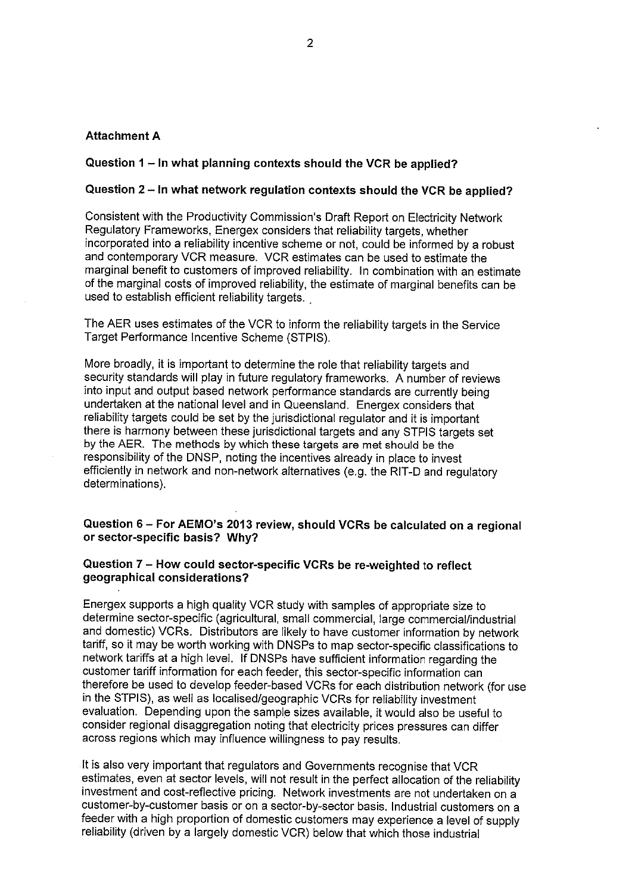## **Attachment A**

# **Question 1 - In what planning contexts should the VCR be applied?**

# **Question 2 - In what network regulation contexts should the VCR be applied?**

Consistent with the Productivity Commission's Draft Report on Electricity Network Regulatory Frameworks, Energex considers that reliability targets, whether incorporated into a reliability incentive scheme or not, could be informed by a robust and contemporary VCR measure. VCR estimates can be used to estimate the marginal benefit to customers of improved reliability. In combination with an estimate of the marginal costs of improved reliability, the estimate of marginal benefits can be used to establish efficient reliability targets.

The AER uses estimates of the VCR to inform the reliability targets in the Service Target Performance Incentive Scheme (STPIS).

More broadly, it is important to determine the role that reliability targets and security standards will play in future regulatory frameworks. A number of reviews into input and output based network performance standards are currently being undertaken at the national level and in Queensland. Energex considers that reliability targets could be set by the jurisdictional regulator and it is important there is harmony between these jurisdictional targets and any STPIS targets set by the AER. The methods by which these targets are met should be the responsibility of the DNSP, noting the incentives already in place to invest efficiently in network and non-network alternatives (e.g. the RIT-D and regulatory determinations).

## **Question 6- For AEMO's 2013 review, should VCRs be calculated on a regional or sector-specific basis? Why?**

# **Question 7 - How could sector-specific VCRs be re-weighted to reflect geographical considerations?**

Energex supports a high quality VCR study with samples of appropriate size to determine sector-specific (agricultural, small commercial, large commercial/industrial and domestic) VCRs. Distributors are likely to have customer information by network tariff, so it may be worth working with DNSPs to map sector-specific classifications to network tariffs at a high level. If DNSPs have sufficient information regarding the customer tariff information for each feeder, this sector-specific information can therefore be used to develop feeder-based VCRs for each distribution network (for use in the STPIS), as well as localised/geographic VCRs for reliability investment evaluation. Depending upon the sample sizes available, it would also be useful to consider regional disaggregation noting that electricity prices pressures can differ across regions which may influence willingness to pay results.

It is also very important that regulators and Governments recognise that VCR estimates, even at sector levels, will not result in the perfect allocation of the reliability investment and cost-reflective pricing. Network investments are not undertaken on a customer-by-customer basis or on a sector-by-sector basis. Industrial customers on a feeder with a high proportion of domestic customers may experience a level of supply reliability (driven by a largely domestic VCR) below that which those industrial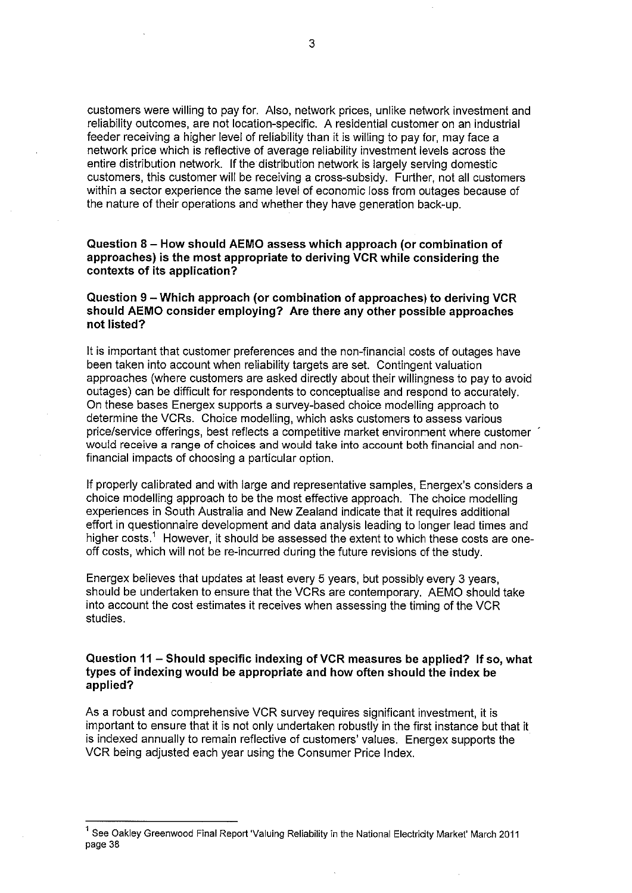customers were willing to pay for. Also, network prices, unlike network investment and reliability outcomes, are not location-specific. A residential customer on an industrial feeder receiving a higher level of reliability than it is willing to pay for, may face a network price which is reflective of average reliability investment levels across the entire distribution network. If the distribution network is largely serving domestic customers, this customer will be receiving a cross-subsidy. Further, not all customers within a sector experience the same level of economic loss from outages because of the nature of their operations and whether they have generation back-up.

## **Question 8 - How should AEMO assess which approach (or combination of approaches) is the most appropriate to deriving VCR while considering the contexts of its application?**

#### **Question 9 - Which approach (or combination of approaches) to deriving VCR should AEMO consider employing? Are there any other possible approaches not listed?**

It is important that customer preferences and the non-financial costs of outages have been taken into account when reliability targets are set. Contingent valuation approaches (where customers are asked directly about their willingness to pay to avoid outages) can be difficult for respondents to conceptualise and respond to accurately. On these bases Energex supports a survey-based choice modelling approach to determine the VCRs. Choice modelling, which asks customers to assess various price/service offerings, best reflects a competitive market environment where customer would receive a range of choices and would take into account both financial and nonfinancial impacts of choosing a particular option.

If properly calibrated and with large and representative samples, Energex's considers a choice modelling approach to be the most effective approach. The choice modelling experiences in South Australia and New Zealand indicate that it requires additional effort in questionnaire development and data analysis leading to longer lead times and higher costs.<sup>1</sup> However, it should be assessed the extent to which these costs are oneoff costs, which will not be re-incurred during the future revisions of the study.

Energex believes that updates at least every 5 years, but possibly every 3 years, should be undertaken to ensure that the VCRs are contemporary. AEMO should take into account the cost estimates it receives when assessing the timing of the VCR studies.

#### **Question 11 - Should specific indexing of VCR measures be applied? If so, what types of indexing would be appropriate and how often should the index be applied?**

As a robust and comprehensive VCR survey requires significant investment, it is important to ensure that it is not only undertaken robustly in the first instance but that it is indexed annually to remain reflective of customers' values. Energex supports the VCR being adjusted each year using the Consumer Price Index.

<sup>&</sup>lt;sup>1</sup> See Oakley Greenwood Final Report 'Valuing Reliability in the National Electricity Market' March 2011 page 38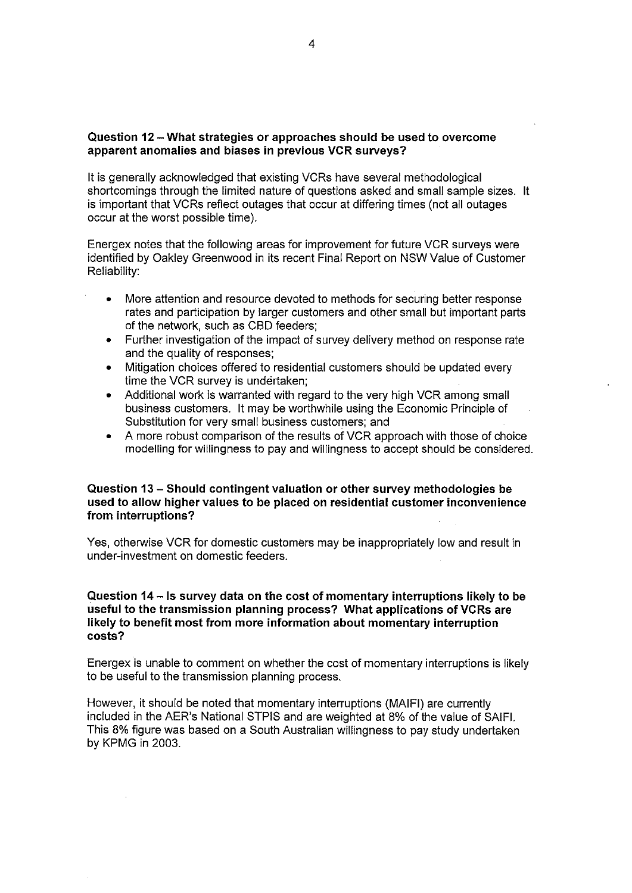## **Question 12-What strategies or approaches should be used to overcome apparent anomalies and biases in previous VCR surveys?**

It is generally acknowledged that existing VCRs have several methodological shortcomings through the limited nature of questions asked and small sample sizes. It is important that VCRs reflect outages that occur at differing times (not all outages occur at the worst possible time).

Energex notes that the following areas for improvement for future VCR surveys were identified by Oakley Greenwood in its recent Final Report on NSW Value of Customer Reliability:

- More attention and resource devoted to methods for securing better response rates and participation by larger customers and other small but important parts of the network, such as CBD feeders;
- Further investigation of the impact of survey delivery method on response rate and the quality of responses;
- Mitigation choices offered to residential customers should be updated every time the VCR survey is undertaken;
- Additional work is warranted with regard to the very high VCR among small business customers. It may be worthwhile using the Economic Principle of Substitution for very small business customers; and
- A more robust comparison of the results of VCR approach with those of choice modelling for willingness to pay and willingness to accept should be considered.

#### **Question 13 - Should contingent valuation or other survey methodologies be used to allow higher values to be placed on residential customer inconvenience from interruptions?**

Yes, otherwise VCR for domestic customers may be inappropriately low and result in under-investment on domestic feeders.

## **Question 14- ls survey data on the cost of momentary interruptions likely to be useful to the transmission planning process? What applications of VCRs are likely to benefit most from more information about momentary interruption costs?**

Energex is unable to comment on whether the cost of momentary interruptions is likely to be useful to the transmission planning process.

However, it should be noted that momentary interruptions (MAIFI) are currently included in the AER's National STPIS and are weighted at 8% of the value of SAIFI. This 8% figure was based on a South Australian willingness to pay study undertaken by KPMG in 2003.